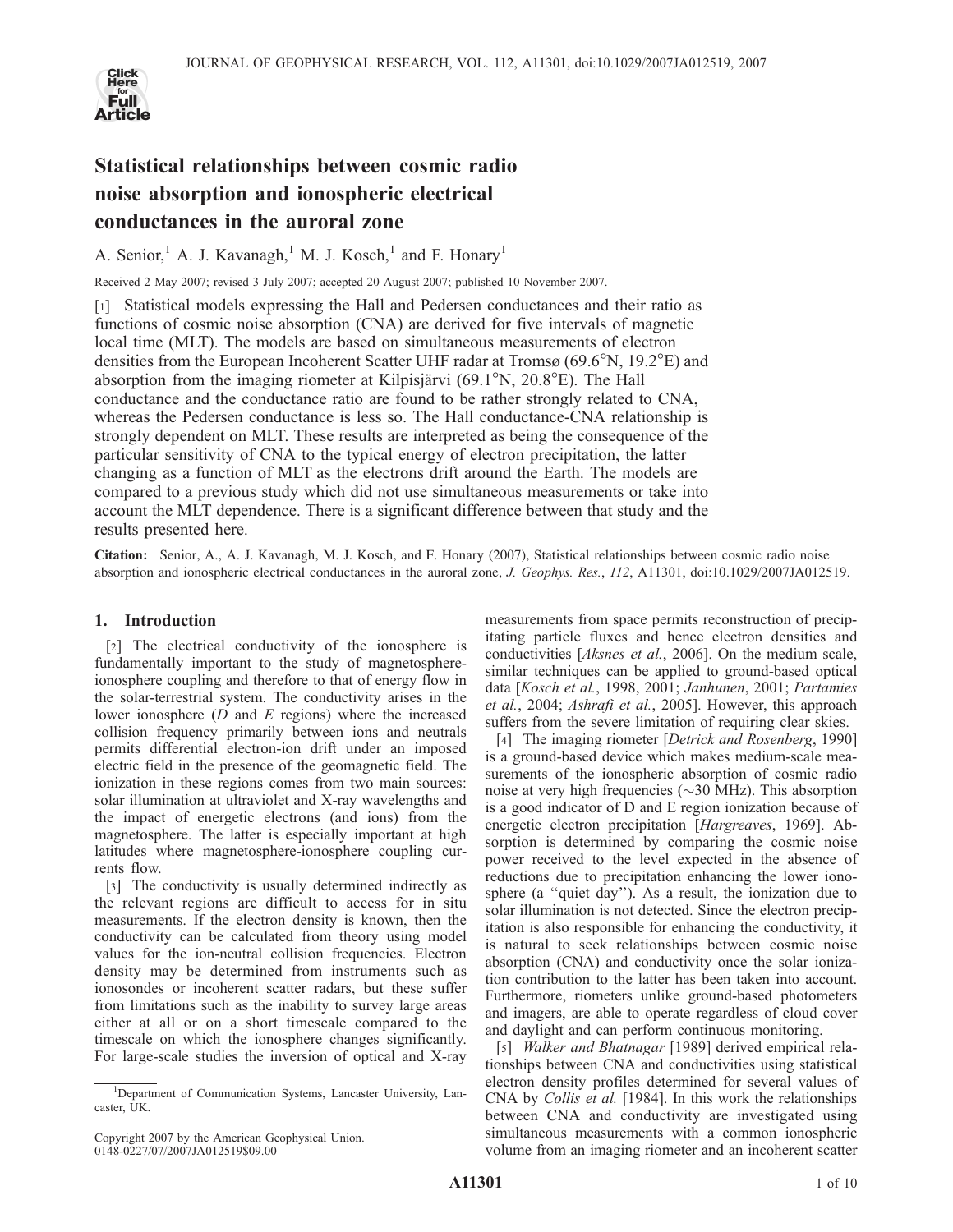

# Statistical relationships between cosmic radio noise absorption and ionospheric electrical conductances in the auroral zone

A. Senior, <sup>1</sup> A. J. Kavanagh,<sup>1</sup> M. J. Kosch,<sup>1</sup> and F. Honary<sup>1</sup>

Received 2 May 2007; revised 3 July 2007; accepted 20 August 2007; published 10 November 2007.

[1] Statistical models expressing the Hall and Pedersen conductances and their ratio as functions of cosmic noise absorption (CNA) are derived for five intervals of magnetic local time (MLT). The models are based on simultaneous measurements of electron densities from the European Incoherent Scatter UHF radar at Tromsø (69.6 $\degree$ N, 19.2 $\degree$ E) and absorption from the imaging riometer at Kilpisjärvi (69.1 $\mathrm{N}$ , 20.8 $\mathrm{E}$ ). The Hall conductance and the conductance ratio are found to be rather strongly related to CNA, whereas the Pedersen conductance is less so. The Hall conductance-CNA relationship is strongly dependent on MLT. These results are interpreted as being the consequence of the particular sensitivity of CNA to the typical energy of electron precipitation, the latter changing as a function of MLT as the electrons drift around the Earth. The models are compared to a previous study which did not use simultaneous measurements or take into account the MLT dependence. There is a significant difference between that study and the results presented here.

Citation: Senior, A., A. J. Kavanagh, M. J. Kosch, and F. Honary (2007), Statistical relationships between cosmic radio noise absorption and ionospheric electrical conductances in the auroral zone, J. Geophys. Res., 112, A11301, doi:10.1029/2007JA012519.

## 1. Introduction

[2] The electrical conductivity of the ionosphere is fundamentally important to the study of magnetosphereionosphere coupling and therefore to that of energy flow in the solar-terrestrial system. The conductivity arises in the lower ionosphere  $(D \text{ and } E \text{ regions})$  where the increased collision frequency primarily between ions and neutrals permits differential electron-ion drift under an imposed electric field in the presence of the geomagnetic field. The ionization in these regions comes from two main sources: solar illumination at ultraviolet and X-ray wavelengths and the impact of energetic electrons (and ions) from the magnetosphere. The latter is especially important at high latitudes where magnetosphere-ionosphere coupling currents flow.

[3] The conductivity is usually determined indirectly as the relevant regions are difficult to access for in situ measurements. If the electron density is known, then the conductivity can be calculated from theory using model values for the ion-neutral collision frequencies. Electron density may be determined from instruments such as ionosondes or incoherent scatter radars, but these suffer from limitations such as the inability to survey large areas either at all or on a short timescale compared to the timescale on which the ionosphere changes significantly. For large-scale studies the inversion of optical and X-ray

measurements from space permits reconstruction of precipitating particle fluxes and hence electron densities and conductivities [Aksnes et al., 2006]. On the medium scale, similar techniques can be applied to ground-based optical data [Kosch et al., 1998, 2001; Janhunen, 2001; Partamies et al., 2004; Ashrafi et al., 2005]. However, this approach suffers from the severe limitation of requiring clear skies.

[4] The imaging riometer [Detrick and Rosenberg, 1990] is a ground-based device which makes medium-scale measurements of the ionospheric absorption of cosmic radio noise at very high frequencies ( $\sim$ 30 MHz). This absorption is a good indicator of D and E region ionization because of energetic electron precipitation [Hargreaves, 1969]. Absorption is determined by comparing the cosmic noise power received to the level expected in the absence of reductions due to precipitation enhancing the lower ionosphere (a ''quiet day''). As a result, the ionization due to solar illumination is not detected. Since the electron precipitation is also responsible for enhancing the conductivity, it is natural to seek relationships between cosmic noise absorption (CNA) and conductivity once the solar ionization contribution to the latter has been taken into account. Furthermore, riometers unlike ground-based photometers and imagers, are able to operate regardless of cloud cover and daylight and can perform continuous monitoring.

[5] *Walker and Bhatnagar* [1989] derived empirical relationships between CNA and conductivities using statistical electron density profiles determined for several values of CNA by Collis et al. [1984]. In this work the relationships between CNA and conductivity are investigated using simultaneous measurements with a common ionospheric volume from an imaging riometer and an incoherent scatter

<sup>&</sup>lt;sup>1</sup>Department of Communication Systems, Lancaster University, Lancaster, UK.

Copyright 2007 by the American Geophysical Union. 0148-0227/07/2007JA012519\$09.00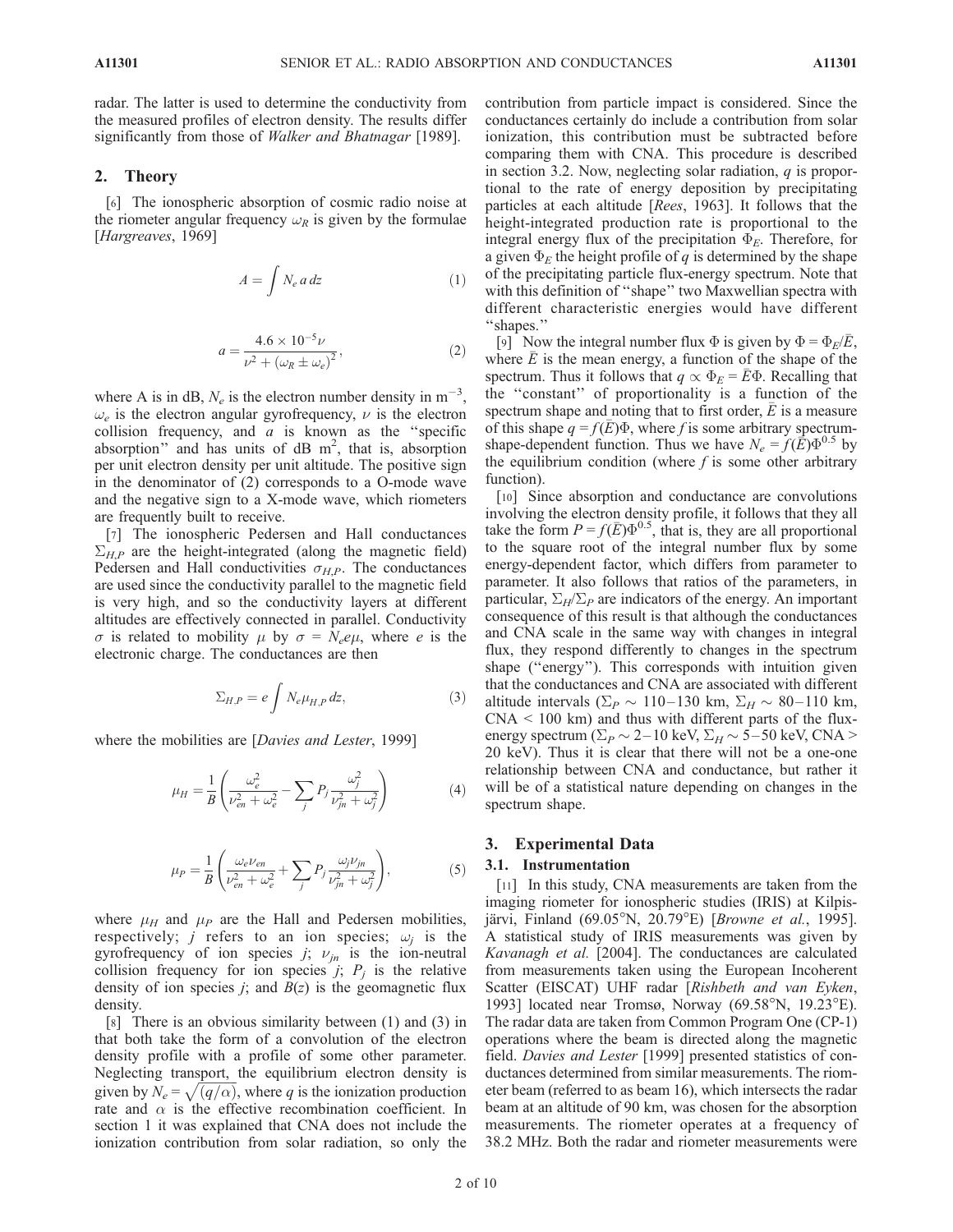radar. The latter is used to determine the conductivity from the measured profiles of electron density. The results differ significantly from those of Walker and Bhatnagar [1989].

## 2. Theory

[6] The ionospheric absorption of cosmic radio noise at the riometer angular frequency  $\omega_R$  is given by the formulae [Hargreaves, 1969]

$$
A = \int N_e a \, dz \tag{1}
$$

$$
a = \frac{4.6 \times 10^{-5} \nu}{\nu^2 + (\omega_R \pm \omega_e)^2},
$$
 (2)

where A is in dB,  $N_e$  is the electron number density in  $m^{-3}$ ,  $\omega_e$  is the electron angular gyrofrequency,  $\nu$  is the electron collision frequency, and  $a$  is known as the "specific absorption" and has units of  $dB$  m<sup>2</sup>, that is, absorption per unit electron density per unit altitude. The positive sign in the denominator of (2) corresponds to a O-mode wave and the negative sign to a X-mode wave, which riometers are frequently built to receive.

[7] The ionospheric Pedersen and Hall conductances  $\Sigma_{HP}$  are the height-integrated (along the magnetic field) Pedersen and Hall conductivities  $\sigma_{HP}$ . The conductances are used since the conductivity parallel to the magnetic field is very high, and so the conductivity layers at different altitudes are effectively connected in parallel. Conductivity  $\sigma$  is related to mobility  $\mu$  by  $\sigma = N_e e \mu$ , where e is the electronic charge. The conductances are then

$$
\Sigma_{H,P} = e \int N_e \mu_{H,P} \, dz,\tag{3}
$$

where the mobilities are [*Davies and Lester*, 1999]

$$
\mu_H = \frac{1}{B} \left( \frac{\omega_e^2}{\nu_{en}^2 + \omega_e^2} - \sum_j P_j \frac{\omega_j^2}{\nu_{jn}^2 + \omega_j^2} \right) \tag{4}
$$

$$
\mu_P = \frac{1}{B} \left( \frac{\omega_e \nu_{en}}{\nu_{en}^2 + \omega_e^2} + \sum_j P_j \frac{\omega_j \nu_{jn}}{\nu_{jn}^2 + \omega_j^2} \right),\tag{5}
$$

where  $\mu_H$  and  $\mu_P$  are the Hall and Pedersen mobilities, respectively; *j* refers to an ion species;  $\omega_i$  is the gyrofrequency of ion species j;  $\nu_{jn}$  is the ion-neutral collision frequency for ion species *j*;  $P_i$  is the relative density of ion species *j*; and  $B(z)$  is the geomagnetic flux density.

[8] There is an obvious similarity between (1) and (3) in that both take the form of a convolution of the electron density profile with a profile of some other parameter. Neglecting transport, the equilibrium electron density is given by  $N_e = \sqrt{\frac{q}{\alpha}}$ , where q is the ionization production rate and  $\alpha$  is the effective recombination coefficient. In section 1 it was explained that CNA does not include the ionization contribution from solar radiation, so only the contribution from particle impact is considered. Since the conductances certainly do include a contribution from solar ionization, this contribution must be subtracted before comparing them with CNA. This procedure is described in section 3.2. Now, neglecting solar radiation,  $q$  is proportional to the rate of energy deposition by precipitating particles at each altitude [Rees, 1963]. It follows that the height-integrated production rate is proportional to the integral energy flux of the precipitation  $\Phi_E$ . Therefore, for a given  $\Phi_E$  the height profile of q is determined by the shape of the precipitating particle flux-energy spectrum. Note that with this definition of "shape" two Maxwellian spectra with different characteristic energies would have different ''shapes.''

[9] Now the integral number flux  $\Phi$  is given by  $\Phi = \Phi_E/E$ , where  $\overline{E}$  is the mean energy, a function of the shape of the spectrum. Thus it follows that  $q \propto \Phi_E = E\Phi$ . Recalling that the ''constant'' of proportionality is a function of the spectrum shape and noting that to first order,  $\overline{E}$  is a measure of this shape  $q = f(\overline{E})\Phi$ , where f is some arbitrary spectrumshape-dependent function. Thus we have  $N_e = f(\bar{E})\Phi^{0.5}$  by the equilibrium condition (where  $f$  is some other arbitrary function).

[10] Since absorption and conductance are convolutions involving the electron density profile, it follows that they all take the form  $P = f(\bar{E})\Phi^{0.5}$ , that is, they are all proportional to the square root of the integral number flux by some energy-dependent factor, which differs from parameter to parameter. It also follows that ratios of the parameters, in particular,  $\Sigma_H/\Sigma_P$  are indicators of the energy. An important consequence of this result is that although the conductances and CNA scale in the same way with changes in integral flux, they respond differently to changes in the spectrum shape (''energy''). This corresponds with intuition given that the conductances and CNA are associated with different altitude intervals ( $\Sigma_P \sim 110-130$  km,  $\Sigma_H \sim 80-110$  km,  $CNA < 100$  km) and thus with different parts of the fluxenergy spectrum ( $\Sigma_P \sim 2$ –10 keV,  $\Sigma_H \sim 5$ –50 keV, CNA > 20 keV). Thus it is clear that there will not be a one-one relationship between CNA and conductance, but rather it will be of a statistical nature depending on changes in the spectrum shape.

## 3. Experimental Data

#### 3.1. Instrumentation

[11] In this study, CNA measurements are taken from the imaging riometer for ionospheric studies (IRIS) at Kilpisjärvi, Finland (69.05°N, 20.79°E) [Browne et al., 1995]. A statistical study of IRIS measurements was given by Kavanagh et al. [2004]. The conductances are calculated from measurements taken using the European Incoherent Scatter (EISCAT) UHF radar [Rishbeth and van Eyken, 1993] located near Tromsø, Norway  $(69.58^{\circ}N, 19.23^{\circ}E)$ . The radar data are taken from Common Program One (CP-1) operations where the beam is directed along the magnetic field. Davies and Lester [1999] presented statistics of conductances determined from similar measurements. The riometer beam (referred to as beam 16), which intersects the radar beam at an altitude of 90 km, was chosen for the absorption measurements. The riometer operates at a frequency of 38.2 MHz. Both the radar and riometer measurements were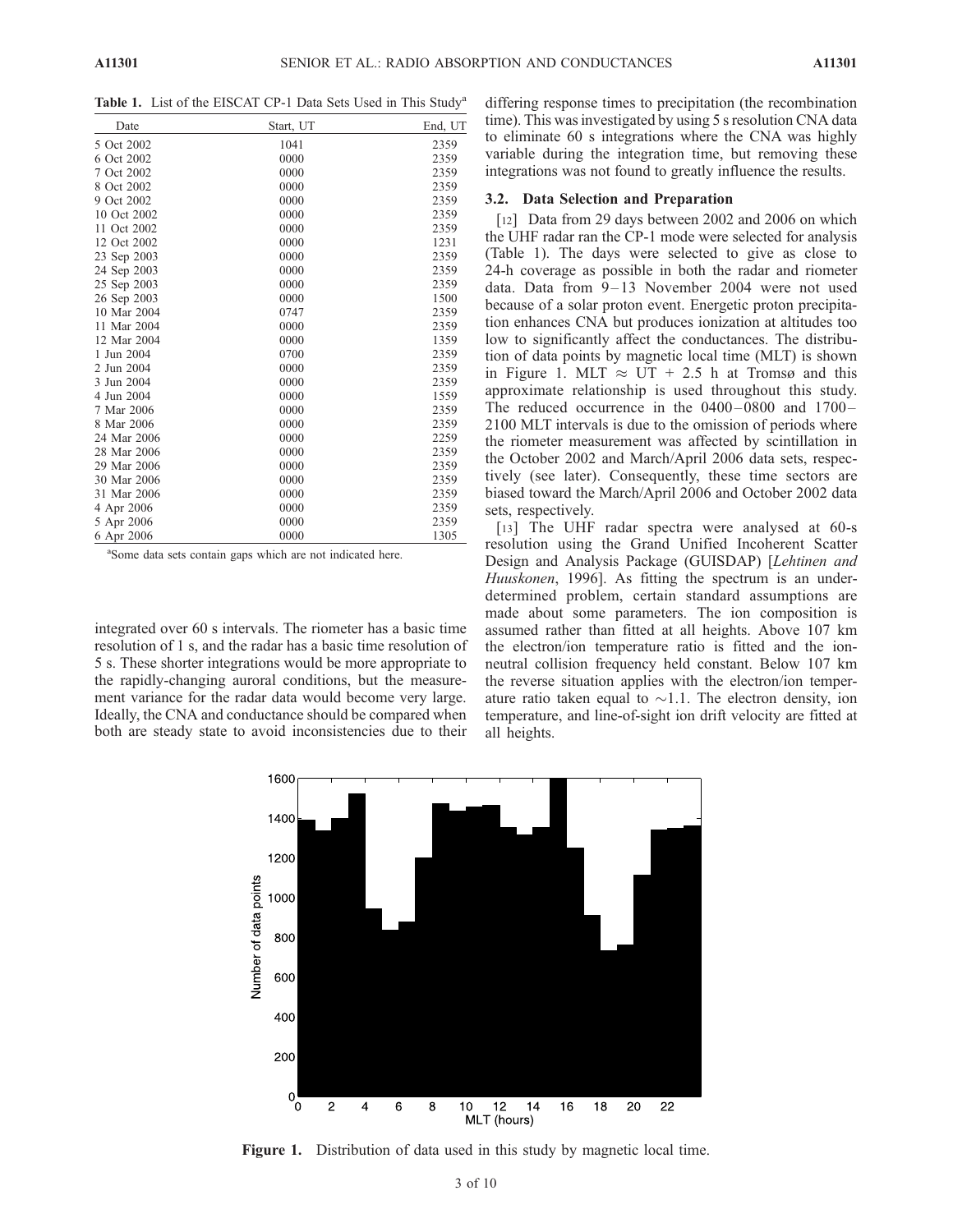Table 1. List of the EISCAT CP-1 Data Sets Used in This Study<sup>a</sup>

| Date        | Start, UT | End, UT |
|-------------|-----------|---------|
| 5 Oct 2002  | 1041      | 2359    |
| 6 Oct 2002  | 0000      | 2359    |
| 7 Oct 2002  | 0000      | 2359    |
| 8 Oct 2002  | 0000      | 2359    |
| 9 Oct 2002  | 0000      | 2359    |
| 10 Oct 2002 | 0000      | 2359    |
| 11 Oct 2002 | 0000      | 2359    |
| 12 Oct 2002 | 0000      | 1231    |
| 23 Sep 2003 | 0000      | 2359    |
| 24 Sep 2003 | 0000      | 2359    |
| 25 Sep 2003 | 0000      | 2359    |
| 26 Sep 2003 | 0000      | 1500    |
| 10 Mar 2004 | 0747      | 2359    |
| 11 Mar 2004 | 0000      | 2359    |
| 12 Mar 2004 | 0000      | 1359    |
| 1 Jun 2004  | 0700      | 2359    |
| 2 Jun 2004  | 0000      | 2359    |
| 3 Jun 2004  | 0000      | 2359    |
| 4 Jun 2004  | 0000      | 1559    |
| 7 Mar 2006  | 0000      | 2359    |
| 8 Mar 2006  | 0000      | 2359    |
| 24 Mar 2006 | 0000      | 2259    |
| 28 Mar 2006 | 0000      | 2359    |
| 29 Mar 2006 | 0000      | 2359    |
| 30 Mar 2006 | 0000      | 2359    |
| 31 Mar 2006 | 0000      | 2359    |
| 4 Apr 2006  | 0000      | 2359    |
| 5 Apr 2006  | 0000      | 2359    |
| 6 Apr 2006  | 0000      | 1305    |

<sup>a</sup>Some data sets contain gaps which are not indicated here.

integrated over 60 s intervals. The riometer has a basic time resolution of 1 s, and the radar has a basic time resolution of 5 s. These shorter integrations would be more appropriate to the rapidly-changing auroral conditions, but the measurement variance for the radar data would become very large. Ideally, the CNA and conductance should be compared when both are steady state to avoid inconsistencies due to their

differing response times to precipitation (the recombination time). This was investigated by using 5 s resolution CNA data to eliminate 60 s integrations where the CNA was highly variable during the integration time, but removing these integrations was not found to greatly influence the results.

#### 3.2. Data Selection and Preparation

[12] Data from 29 days between 2002 and 2006 on which the UHF radar ran the CP-1 mode were selected for analysis (Table 1). The days were selected to give as close to 24-h coverage as possible in both the radar and riometer data. Data from 9-13 November 2004 were not used because of a solar proton event. Energetic proton precipitation enhances CNA but produces ionization at altitudes too low to significantly affect the conductances. The distribution of data points by magnetic local time (MLT) is shown in Figure 1. MLT  $\approx$  UT + 2.5 h at Tromsø and this approximate relationship is used throughout this study. The reduced occurrence in the  $0400 - 0800$  and  $1700 -$ 2100 MLT intervals is due to the omission of periods where the riometer measurement was affected by scintillation in the October 2002 and March/April 2006 data sets, respectively (see later). Consequently, these time sectors are biased toward the March/April 2006 and October 2002 data sets, respectively.

[13] The UHF radar spectra were analysed at 60-s resolution using the Grand Unified Incoherent Scatter Design and Analysis Package (GUISDAP) [Lehtinen and Huuskonen, 1996]. As fitting the spectrum is an underdetermined problem, certain standard assumptions are made about some parameters. The ion composition is assumed rather than fitted at all heights. Above 107 km the electron/ion temperature ratio is fitted and the ionneutral collision frequency held constant. Below 107 km the reverse situation applies with the electron/ion temperature ratio taken equal to  $\sim$ 1.1. The electron density, ion temperature, and line-of-sight ion drift velocity are fitted at all heights.



Figure 1. Distribution of data used in this study by magnetic local time.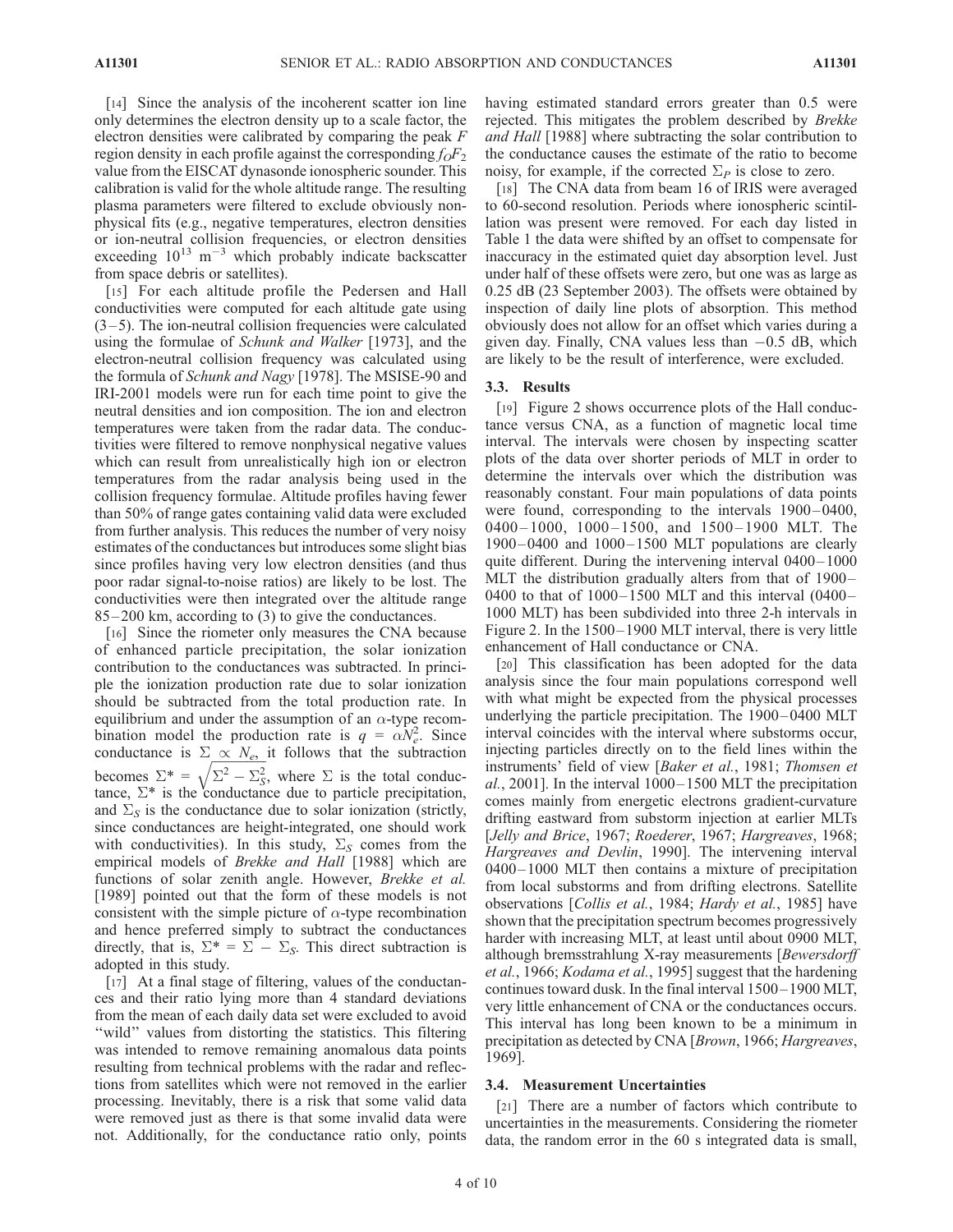[14] Since the analysis of the incoherent scatter ion line only determines the electron density up to a scale factor, the electron densities were calibrated by comparing the peak  $F$ region density in each profile against the corresponding  $f_0F_2$ value from the EISCAT dynasonde ionospheric sounder. This calibration is valid for the whole altitude range. The resulting plasma parameters were filtered to exclude obviously nonphysical fits (e.g., negative temperatures, electron densities or ion-neutral collision frequencies, or electron densities exceeding  $10^{13}$  m<sup>-3</sup> which probably indicate backscatter from space debris or satellites).

[15] For each altitude profile the Pedersen and Hall conductivities were computed for each altitude gate using  $(3-5)$ . The ion-neutral collision frequencies were calculated using the formulae of Schunk and Walker [1973], and the electron-neutral collision frequency was calculated using the formula of Schunk and Nagy [1978]. The MSISE-90 and IRI-2001 models were run for each time point to give the neutral densities and ion composition. The ion and electron temperatures were taken from the radar data. The conductivities were filtered to remove nonphysical negative values which can result from unrealistically high ion or electron temperatures from the radar analysis being used in the collision frequency formulae. Altitude profiles having fewer than 50% of range gates containing valid data were excluded from further analysis. This reduces the number of very noisy estimates of the conductances but introduces some slight bias since profiles having very low electron densities (and thus poor radar signal-to-noise ratios) are likely to be lost. The conductivities were then integrated over the altitude range 85– 200 km, according to (3) to give the conductances.

[16] Since the riometer only measures the CNA because of enhanced particle precipitation, the solar ionization contribution to the conductances was subtracted. In principle the ionization production rate due to solar ionization should be subtracted from the total production rate. In equilibrium and under the assumption of an  $\alpha$ -type recombination model the production rate is  $q = \alpha N_e^2$ . Since conductance is  $\sum \alpha N_e$  it follows that the subtraction becomes  $\Sigma^* = \sqrt{\Sigma^2 - \Sigma_S^2}$ , where  $\Sigma$  is the total conductance,  $\Sigma^*$  is the conductance due to particle precipitation, and  $\Sigma<sub>S</sub>$  is the conductance due to solar ionization (strictly, since conductances are height-integrated, one should work with conductivities). In this study,  $\Sigma<sub>S</sub>$  comes from the empirical models of Brekke and Hall [1988] which are functions of solar zenith angle. However, Brekke et al. [1989] pointed out that the form of these models is not consistent with the simple picture of  $\alpha$ -type recombination and hence preferred simply to subtract the conductances directly, that is,  $\Sigma^* = \Sigma - \Sigma_S$ . This direct subtraction is adopted in this study.

[17] At a final stage of filtering, values of the conductances and their ratio lying more than 4 standard deviations from the mean of each daily data set were excluded to avoid "wild" values from distorting the statistics. This filtering was intended to remove remaining anomalous data points resulting from technical problems with the radar and reflections from satellites which were not removed in the earlier processing. Inevitably, there is a risk that some valid data were removed just as there is that some invalid data were not. Additionally, for the conductance ratio only, points having estimated standard errors greater than 0.5 were rejected. This mitigates the problem described by Brekke and Hall [1988] where subtracting the solar contribution to the conductance causes the estimate of the ratio to become noisy, for example, if the corrected  $\Sigma_P$  is close to zero.

[18] The CNA data from beam 16 of IRIS were averaged to 60-second resolution. Periods where ionospheric scintillation was present were removed. For each day listed in Table 1 the data were shifted by an offset to compensate for inaccuracy in the estimated quiet day absorption level. Just under half of these offsets were zero, but one was as large as 0.25 dB (23 September 2003). The offsets were obtained by inspection of daily line plots of absorption. This method obviously does not allow for an offset which varies during a given day. Finally, CNA values less than  $-0.5$  dB, which are likely to be the result of interference, were excluded.

## 3.3. Results

[19] Figure 2 shows occurrence plots of the Hall conductance versus CNA, as a function of magnetic local time interval. The intervals were chosen by inspecting scatter plots of the data over shorter periods of MLT in order to determine the intervals over which the distribution was reasonably constant. Four main populations of data points were found, corresponding to the intervals 1900-0400, 0400 – 1000, 1000 – 1500, and 1500 – 1900 MLT. The  $1900-0400$  and  $1000-1500$  MLT populations are clearly quite different. During the intervening interval 0400-1000 MLT the distribution gradually alters from that of 1900– 0400 to that of  $1000-1500$  MLT and this interval  $(0400-$ 1000 MLT) has been subdivided into three 2-h intervals in Figure 2. In the 1500– 1900 MLT interval, there is very little enhancement of Hall conductance or CNA.

[20] This classification has been adopted for the data analysis since the four main populations correspond well with what might be expected from the physical processes underlying the particle precipitation. The 1900-0400 MLT interval coincides with the interval where substorms occur, injecting particles directly on to the field lines within the instruments' field of view [Baker et al., 1981; Thomsen et  $al., 2001$ . In the interval  $1000-1500$  MLT the precipitation comes mainly from energetic electrons gradient-curvature drifting eastward from substorm injection at earlier MLTs [Jelly and Brice, 1967; Roederer, 1967; Hargreaves, 1968; Hargreaves and Devlin, 1990]. The intervening interval 0400– 1000 MLT then contains a mixture of precipitation from local substorms and from drifting electrons. Satellite observations [Collis et al., 1984; Hardy et al., 1985] have shown that the precipitation spectrum becomes progressively harder with increasing MLT, at least until about 0900 MLT, although bremsstrahlung X-ray measurements [Bewersdorff et al., 1966; Kodama et al., 1995] suggest that the hardening continues toward dusk. In the final interval  $1500 - 1900$  MLT, very little enhancement of CNA or the conductances occurs. This interval has long been known to be a minimum in precipitation as detected by CNA [Brown, 1966; Hargreaves, 1969].

#### 3.4. Measurement Uncertainties

[21] There are a number of factors which contribute to uncertainties in the measurements. Considering the riometer data, the random error in the 60 s integrated data is small,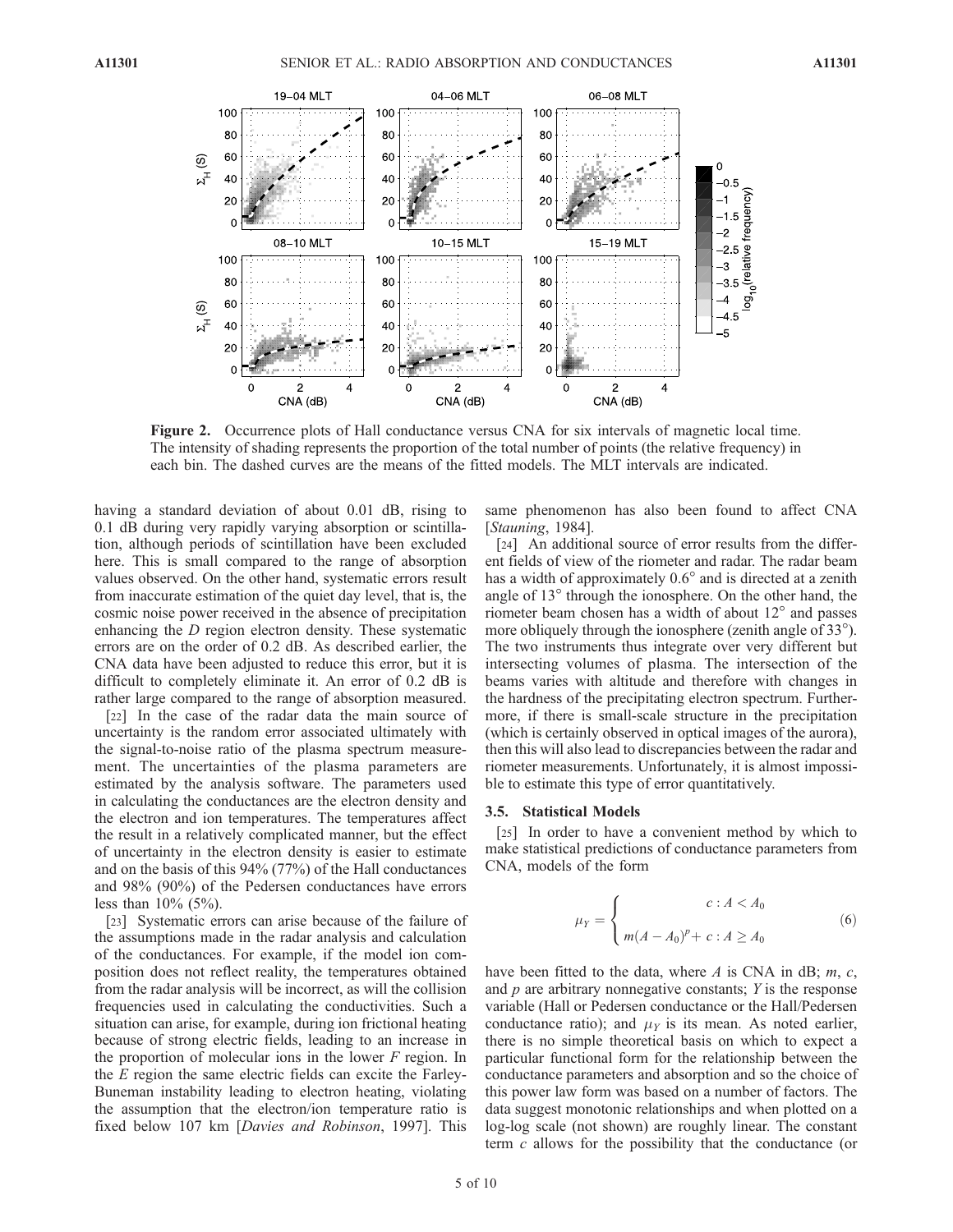

Figure 2. Occurrence plots of Hall conductance versus CNA for six intervals of magnetic local time. The intensity of shading represents the proportion of the total number of points (the relative frequency) in each bin. The dashed curves are the means of the fitted models. The MLT intervals are indicated.

having a standard deviation of about 0.01 dB, rising to 0.1 dB during very rapidly varying absorption or scintillation, although periods of scintillation have been excluded here. This is small compared to the range of absorption values observed. On the other hand, systematic errors result from inaccurate estimation of the quiet day level, that is, the cosmic noise power received in the absence of precipitation enhancing the D region electron density. These systematic errors are on the order of 0.2 dB. As described earlier, the CNA data have been adjusted to reduce this error, but it is difficult to completely eliminate it. An error of 0.2 dB is rather large compared to the range of absorption measured.

[22] In the case of the radar data the main source of uncertainty is the random error associated ultimately with the signal-to-noise ratio of the plasma spectrum measurement. The uncertainties of the plasma parameters are estimated by the analysis software. The parameters used in calculating the conductances are the electron density and the electron and ion temperatures. The temperatures affect the result in a relatively complicated manner, but the effect of uncertainty in the electron density is easier to estimate and on the basis of this 94% (77%) of the Hall conductances and 98% (90%) of the Pedersen conductances have errors less than  $10\%$  (5%).

[23] Systematic errors can arise because of the failure of the assumptions made in the radar analysis and calculation of the conductances. For example, if the model ion composition does not reflect reality, the temperatures obtained from the radar analysis will be incorrect, as will the collision frequencies used in calculating the conductivities. Such a situation can arise, for example, during ion frictional heating because of strong electric fields, leading to an increase in the proportion of molecular ions in the lower  $F$  region. In the E region the same electric fields can excite the Farley-Buneman instability leading to electron heating, violating the assumption that the electron/ion temperature ratio is fixed below 107 km [Davies and Robinson, 1997]. This

same phenomenon has also been found to affect CNA [Stauning, 1984].

[24] An additional source of error results from the different fields of view of the riometer and radar. The radar beam has a width of approximately  $0.6^{\circ}$  and is directed at a zenith angle of  $13^\circ$  through the ionosphere. On the other hand, the riometer beam chosen has a width of about  $12^{\circ}$  and passes more obliquely through the ionosphere (zenith angle of 33<sup>o</sup>). The two instruments thus integrate over very different but intersecting volumes of plasma. The intersection of the beams varies with altitude and therefore with changes in the hardness of the precipitating electron spectrum. Furthermore, if there is small-scale structure in the precipitation (which is certainly observed in optical images of the aurora), then this will also lead to discrepancies between the radar and riometer measurements. Unfortunately, it is almost impossible to estimate this type of error quantitatively.

#### 3.5. Statistical Models

[25] In order to have a convenient method by which to make statistical predictions of conductance parameters from CNA, models of the form

$$
\mu_Y = \begin{cases}\n & c : A < A_0 \\
m(A - A_0)^p + c : A \ge A_0\n \end{cases}
$$
\n(6)

have been fitted to the data, where  $A$  is CNA in dB;  $m$ ,  $c$ , and  $p$  are arbitrary nonnegative constants;  $Y$  is the response variable (Hall or Pedersen conductance or the Hall/Pedersen conductance ratio); and  $\mu_Y$  is its mean. As noted earlier, there is no simple theoretical basis on which to expect a particular functional form for the relationship between the conductance parameters and absorption and so the choice of this power law form was based on a number of factors. The data suggest monotonic relationships and when plotted on a log-log scale (not shown) are roughly linear. The constant term  $c$  allows for the possibility that the conductance (or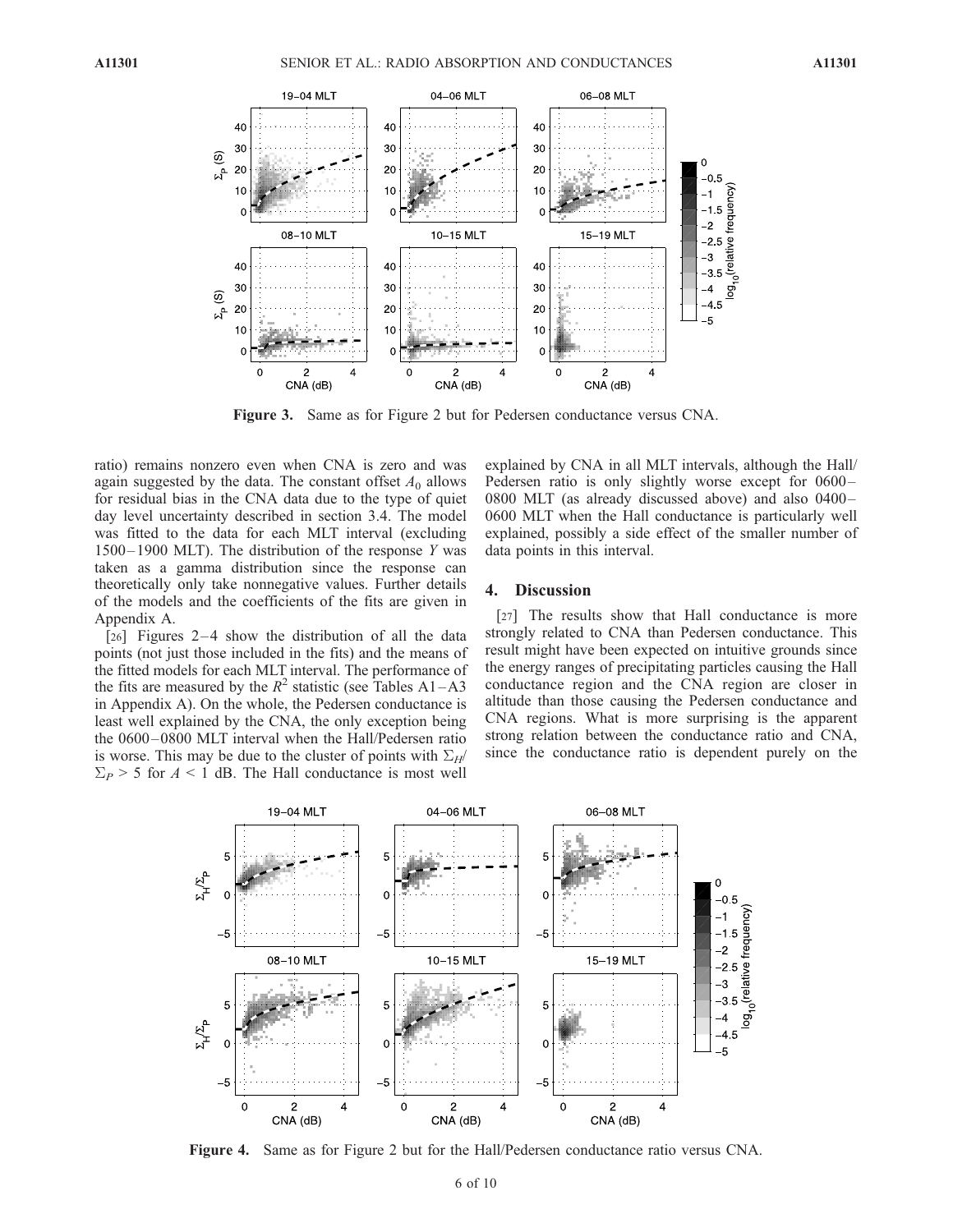

Figure 3. Same as for Figure 2 but for Pedersen conductance versus CNA.

ratio) remains nonzero even when CNA is zero and was again suggested by the data. The constant offset  $A_0$  allows for residual bias in the CNA data due to the type of quiet day level uncertainty described in section 3.4. The model was fitted to the data for each MLT interval (excluding  $1500 - 1900$  MLT). The distribution of the response Y was taken as a gamma distribution since the response can theoretically only take nonnegative values. Further details of the models and the coefficients of the fits are given in Appendix A.

[26] Figures  $2-4$  show the distribution of all the data points (not just those included in the fits) and the means of the fitted models for each MLT interval. The performance of the fits are measured by the  $R^2$  statistic (see Tables A1–A3 in Appendix A). On the whole, the Pedersen conductance is least well explained by the CNA, the only exception being the 0600 – 0800 MLT interval when the Hall/Pedersen ratio is worse. This may be due to the cluster of points with  $\Sigma_H$  $\Sigma_P$  > 5 for A < 1 dB. The Hall conductance is most well

explained by CNA in all MLT intervals, although the Hall/ Pedersen ratio is only slightly worse except for 0600-0800 MLT (as already discussed above) and also 0400– 0600 MLT when the Hall conductance is particularly well explained, possibly a side effect of the smaller number of data points in this interval.

## 4. Discussion

[27] The results show that Hall conductance is more strongly related to CNA than Pedersen conductance. This result might have been expected on intuitive grounds since the energy ranges of precipitating particles causing the Hall conductance region and the CNA region are closer in altitude than those causing the Pedersen conductance and CNA regions. What is more surprising is the apparent strong relation between the conductance ratio and CNA, since the conductance ratio is dependent purely on the



Figure 4. Same as for Figure 2 but for the Hall/Pedersen conductance ratio versus CNA.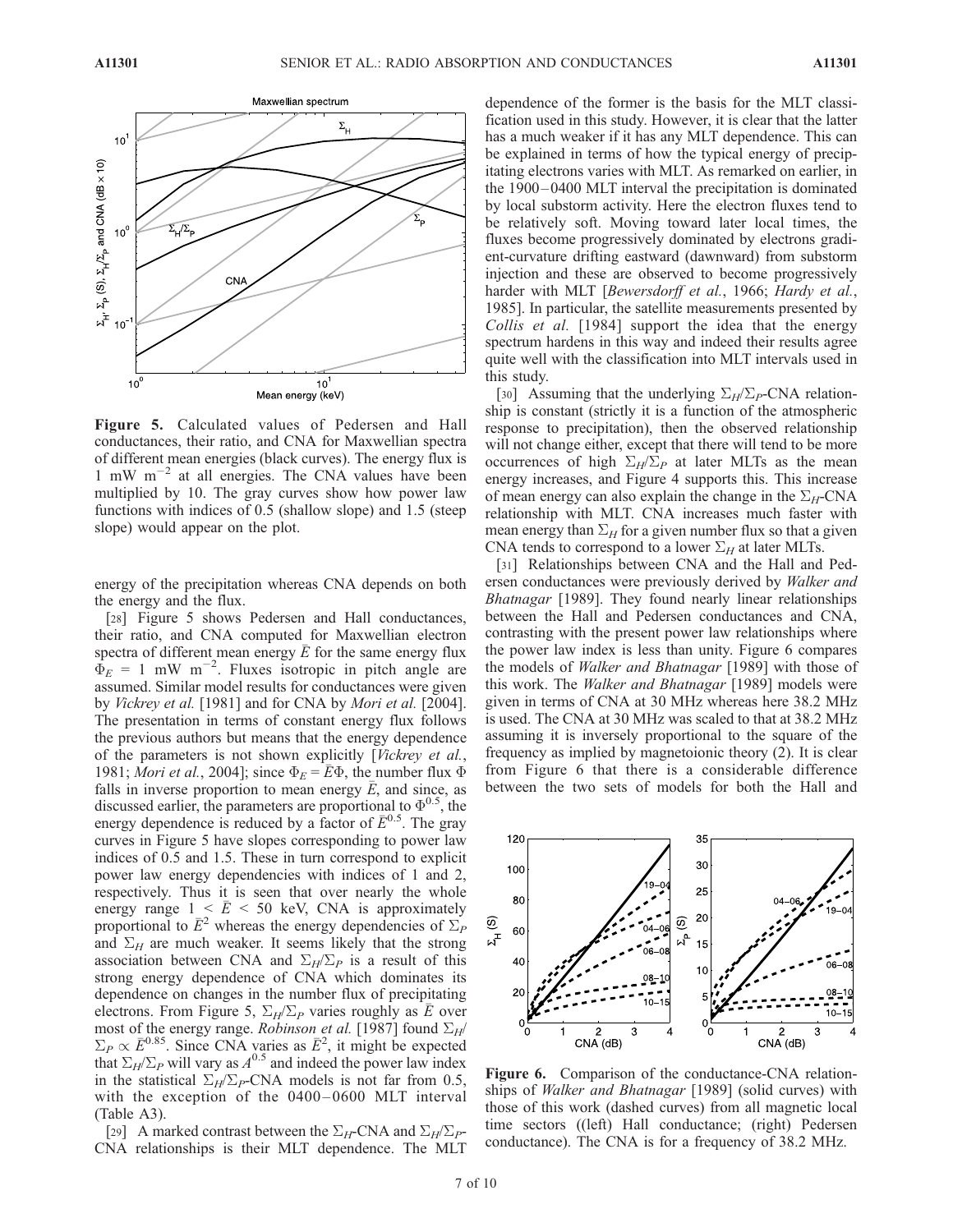

Figure 5. Calculated values of Pedersen and Hall conductances, their ratio, and CNA for Maxwellian spectra of different mean energies (black curves). The energy flux is 1 mW  $m^{-2}$  at all energies. The CNA values have been multiplied by 10. The gray curves show how power law functions with indices of 0.5 (shallow slope) and 1.5 (steep slope) would appear on the plot.

energy of the precipitation whereas CNA depends on both the energy and the flux.

[28] Figure 5 shows Pedersen and Hall conductances, their ratio, and CNA computed for Maxwellian electron spectra of different mean energy  $\overline{E}$  for the same energy flux  $\dot{\Phi}_E = 1$  mW m<sup>-2</sup>. Fluxes isotropic in pitch angle are assumed. Similar model results for conductances were given by Vickrey et al. [1981] and for CNA by Mori et al. [2004]. The presentation in terms of constant energy flux follows the previous authors but means that the energy dependence of the parameters is not shown explicitly [Vickrey et al., 1981; Mori et al., 2004]; since  $\Phi_E = \overline{E} \Phi$ , the number flux  $\Phi$ falls in inverse proportion to mean energy  $\overline{E}$ , and since, as discussed earlier, the parameters are proportional to  $\Phi^{0.5}$ , the energy dependence is reduced by a factor of  $\bar{E}^{0.5}$ . The gray curves in Figure 5 have slopes corresponding to power law indices of 0.5 and 1.5. These in turn correspond to explicit power law energy dependencies with indices of 1 and 2, respectively. Thus it is seen that over nearly the whole energy range  $1 \le \bar{E} \le 50$  keV, CNA is approximately proportional to  $\overline{E}^2$  whereas the energy dependencies of  $\Sigma_P$ and  $\Sigma_H$  are much weaker. It seems likely that the strong association between CNA and  $\Sigma_H/\Sigma_P$  is a result of this strong energy dependence of CNA which dominates its dependence on changes in the number flux of precipitating electrons. From Figure 5,  $\Sigma_H/\Sigma_P$  varies roughly as  $\overline{E}$  over most of the energy range. *Robinson et al.* [1987] found  $\Sigma_H$ /  $\Sigma_P \propto \bar{E}^{0.85}$ . Since CNA varies as  $\bar{E}^2$ , it might be expected that  $\Sigma_H/\Sigma_P$  will vary as  $A^{0.5}$  and indeed the power law index in the statistical  $\Sigma_H/\Sigma_P$ -CNA models is not far from 0.5, with the exception of the  $0400 - 0600$  MLT interval (Table A3).

[29] A marked contrast between the  $\Sigma_H$ -CNA and  $\Sigma_H/\Sigma_P$ -CNA relationships is their MLT dependence. The MLT

dependence of the former is the basis for the MLT classification used in this study. However, it is clear that the latter has a much weaker if it has any MLT dependence. This can be explained in terms of how the typical energy of precipitating electrons varies with MLT. As remarked on earlier, in the 1900 – 0400 MLT interval the precipitation is dominated by local substorm activity. Here the electron fluxes tend to be relatively soft. Moving toward later local times, the fluxes become progressively dominated by electrons gradient-curvature drifting eastward (dawnward) from substorm injection and these are observed to become progressively harder with MLT [Bewersdorff et al., 1966; Hardy et al., 1985]. In particular, the satellite measurements presented by Collis et al. [1984] support the idea that the energy spectrum hardens in this way and indeed their results agree quite well with the classification into MLT intervals used in this study.

[30] Assuming that the underlying  $\Sigma_H/\Sigma_P$ -CNA relationship is constant (strictly it is a function of the atmospheric response to precipitation), then the observed relationship will not change either, except that there will tend to be more occurrences of high  $\Sigma_H/\Sigma_P$  at later MLTs as the mean energy increases, and Figure 4 supports this. This increase of mean energy can also explain the change in the  $\Sigma_H$ -CNA relationship with MLT. CNA increases much faster with mean energy than  $\Sigma_H$  for a given number flux so that a given CNA tends to correspond to a lower  $\Sigma_H$  at later MLTs.

[31] Relationships between CNA and the Hall and Pedersen conductances were previously derived by Walker and Bhatnagar [1989]. They found nearly linear relationships between the Hall and Pedersen conductances and CNA, contrasting with the present power law relationships where the power law index is less than unity. Figure 6 compares the models of Walker and Bhatnagar [1989] with those of this work. The Walker and Bhatnagar [1989] models were given in terms of CNA at 30 MHz whereas here 38.2 MHz is used. The CNA at 30 MHz was scaled to that at 38.2 MHz assuming it is inversely proportional to the square of the frequency as implied by magnetoionic theory (2). It is clear from Figure 6 that there is a considerable difference between the two sets of models for both the Hall and



Figure 6. Comparison of the conductance-CNA relationships of *Walker and Bhatnagar* [1989] (solid curves) with those of this work (dashed curves) from all magnetic local time sectors ((left) Hall conductance; (right) Pedersen conductance). The CNA is for a frequency of 38.2 MHz.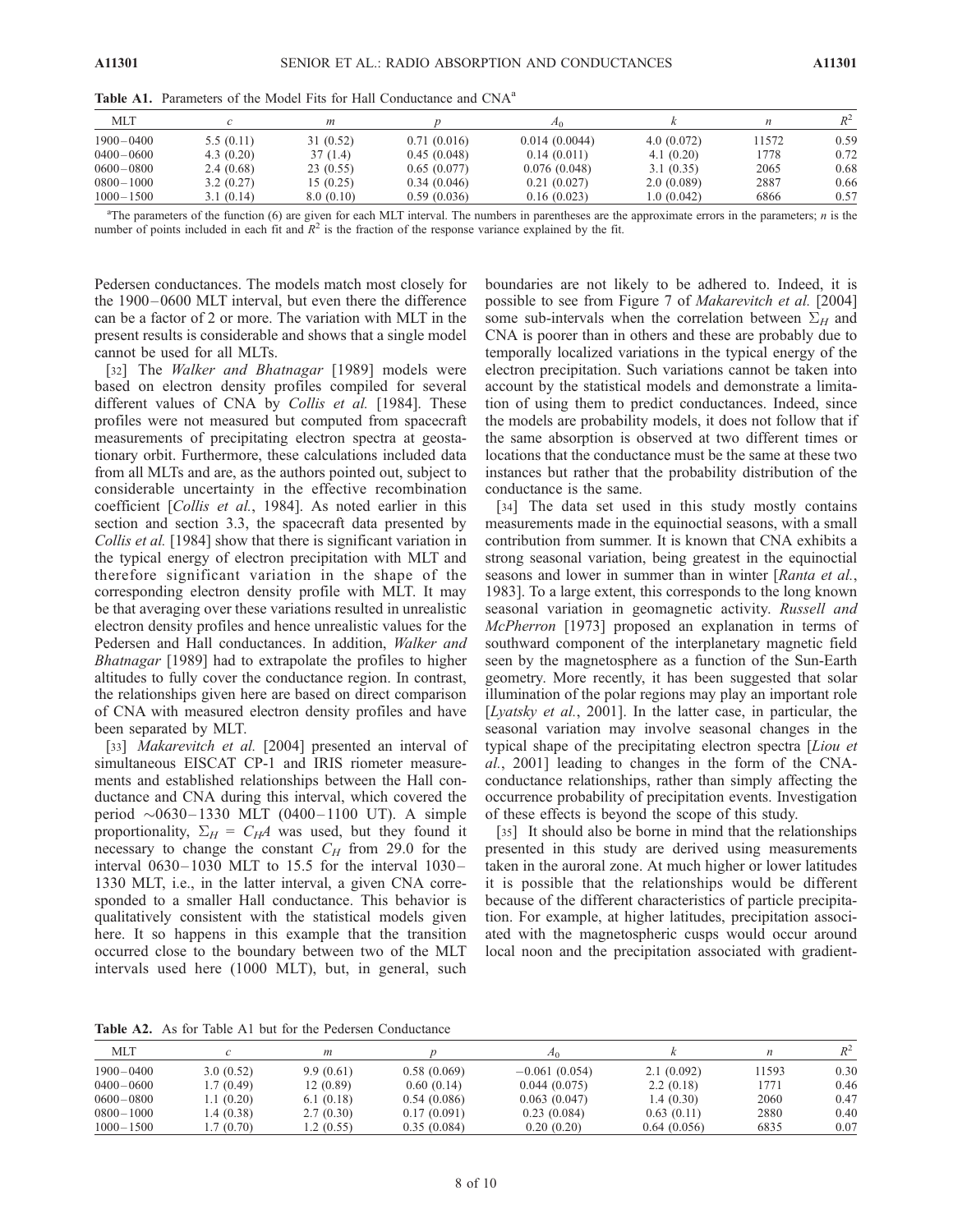| <b>MLT</b>    |           | m         |             |               |            | n     | $R^2$ |
|---------------|-----------|-----------|-------------|---------------|------------|-------|-------|
| $1900 - 0400$ | 5.5(0.11) | 31(0.52)  | 0.71(0.016) | 0.014(0.0044) | 4.0(0.072) | 11572 | 0.59  |
| $0400 - 0600$ | 4.3(0.20) | 37(1.4)   | 0.45(0.048) | 0.14(0.011)   | 4.1(0.20)  | 1778  | 0.72  |
| $0600 - 0800$ | 2.4(0.68) | 23(0.55)  | 0.65(0.077) | 0.076(0.048)  | 3.1(0.35)  | 2065  | 0.68  |
| $0800 - 1000$ | 3.2(0.27) | 15 (0.25) | 0.34(0.046) | 0.21(0.027)   | 2.0(0.089) | 2887  | 0.66  |
| $1000 - 1500$ | 3.1(0.14) | 8.0(0.10) | 0.59(0.036) | 0.16(0.023)   | 1.0(0.042) | 6866  | 0.57  |

Table A1. Parameters of the Model Fits for Hall Conductance and CNA<sup>a</sup>

<sup>a</sup>The parameters of the function (6) are given for each MLT interval. The numbers in parentheses are the approximate errors in the parameters; *n* is the number of points included in each fit and  $R^2$  is the fraction of the response variance explained by the fit.

Pedersen conductances. The models match most closely for the 1900–0600 MLT interval, but even there the difference can be a factor of 2 or more. The variation with MLT in the present results is considerable and shows that a single model cannot be used for all MLTs.

[32] The *Walker and Bhatnagar* [1989] models were based on electron density profiles compiled for several different values of CNA by Collis et al. [1984]. These profiles were not measured but computed from spacecraft measurements of precipitating electron spectra at geostationary orbit. Furthermore, these calculations included data from all MLTs and are, as the authors pointed out, subject to considerable uncertainty in the effective recombination coefficient [Collis et al., 1984]. As noted earlier in this section and section 3.3, the spacecraft data presented by Collis et al. [1984] show that there is significant variation in the typical energy of electron precipitation with MLT and therefore significant variation in the shape of the corresponding electron density profile with MLT. It may be that averaging over these variations resulted in unrealistic electron density profiles and hence unrealistic values for the Pedersen and Hall conductances. In addition, Walker and Bhatnagar [1989] had to extrapolate the profiles to higher altitudes to fully cover the conductance region. In contrast, the relationships given here are based on direct comparison of CNA with measured electron density profiles and have been separated by MLT.

[33] *Makarevitch et al.* [2004] presented an interval of simultaneous EISCAT CP-1 and IRIS riometer measurements and established relationships between the Hall conductance and CNA during this interval, which covered the period  $\sim 0630 - 1330$  MLT (0400 – 1100 UT). A simple proportionality,  $\Sigma_H = C_H A$  was used, but they found it necessary to change the constant  $C_H$  from 29.0 for the interval  $0630-1030$  MLT to 15.5 for the interval  $1030-$ 1330 MLT, i.e., in the latter interval, a given CNA corresponded to a smaller Hall conductance. This behavior is qualitatively consistent with the statistical models given here. It so happens in this example that the transition occurred close to the boundary between two of the MLT intervals used here (1000 MLT), but, in general, such

boundaries are not likely to be adhered to. Indeed, it is possible to see from Figure 7 of Makarevitch et al. [2004] some sub-intervals when the correlation between  $\Sigma_H$  and CNA is poorer than in others and these are probably due to temporally localized variations in the typical energy of the electron precipitation. Such variations cannot be taken into account by the statistical models and demonstrate a limitation of using them to predict conductances. Indeed, since the models are probability models, it does not follow that if the same absorption is observed at two different times or locations that the conductance must be the same at these two instances but rather that the probability distribution of the conductance is the same.

[34] The data set used in this study mostly contains measurements made in the equinoctial seasons, with a small contribution from summer. It is known that CNA exhibits a strong seasonal variation, being greatest in the equinoctial seasons and lower in summer than in winter [Ranta et al., 1983]. To a large extent, this corresponds to the long known seasonal variation in geomagnetic activity. Russell and McPherron [1973] proposed an explanation in terms of southward component of the interplanetary magnetic field seen by the magnetosphere as a function of the Sun-Earth geometry. More recently, it has been suggested that solar illumination of the polar regions may play an important role [Lyatsky et al., 2001]. In the latter case, in particular, the seasonal variation may involve seasonal changes in the typical shape of the precipitating electron spectra [Liou et al., 2001] leading to changes in the form of the CNAconductance relationships, rather than simply affecting the occurrence probability of precipitation events. Investigation of these effects is beyond the scope of this study.

[35] It should also be borne in mind that the relationships presented in this study are derived using measurements taken in the auroral zone. At much higher or lower latitudes it is possible that the relationships would be different because of the different characteristics of particle precipitation. For example, at higher latitudes, precipitation associated with the magnetospheric cusps would occur around local noon and the precipitation associated with gradient-

Table A2. As for Table A1 but for the Pedersen Conductance

| <b>MLT</b>    |            | m         |             | Æο              |             | п     | $R^2$ |
|---------------|------------|-----------|-------------|-----------------|-------------|-------|-------|
| $1900 - 0400$ | 3.0(0.52)  | 9.9(0.61) | 0.58(0.069) | $-0.061(0.054)$ | 2.1(0.092)  | 11593 | 0.30  |
| $0400 - 0600$ | 1.7 (0.49) | 12(0.89)  | 0.60(0.14)  | 0.044(0.075)    | 2.2(0.18)   | 1771  | 0.46  |
| $0600 - 0800$ | 1.1(0.20)  | 6.1(0.18) | 0.54(0.086) | 0.063(0.047)    | 1.4(0.30)   | 2060  | 0.47  |
| $0800 - 1000$ | .4(0.38)   | 2.7(0.30) | 0.17(0.091) | 0.23(0.084)     | 0.63(0.11)  | 2880  | 0.40  |
| $1000 - 1500$ | .7(0.70)   | 1.2(0.55) | 0.35(0.084) | 0.20(0.20)      | 0.64(0.056) | 6835  | 0.07  |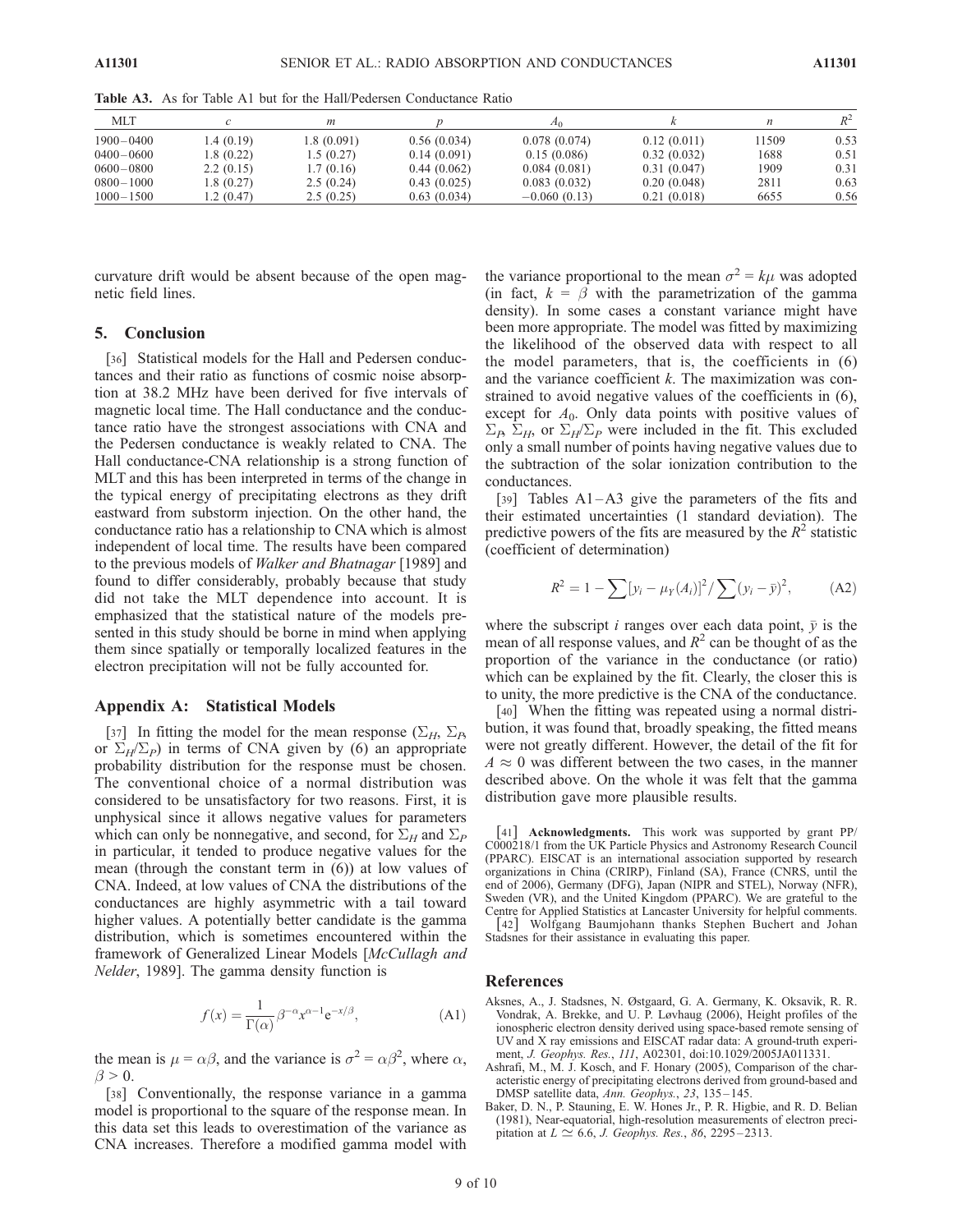| <b>MLT</b>    |            | т           |             | 21 O           |             | n     | $R^2$ |
|---------------|------------|-------------|-------------|----------------|-------------|-------|-------|
| $1900 - 0400$ | 1.4(0.19)  | 1.8 (0.091) | 0.56(0.034) | 0.078(0.074)   | 0.12(0.011) | 11509 | 0.53  |
| $0400 - 0600$ | 1.8 (0.22) | 1.5(0.27)   | 0.14(0.091) | 0.15(0.086)    | 0.32(0.032) | 1688  | 0.51  |
| $0600 - 0800$ | 2.2(0.15)  | 1.7(0.16)   | 0.44(0.062) | 0.084(0.081)   | 0.31(0.047) | 1909  | 0.31  |
| $0800 - 1000$ | 1.8 (0.27) | 2.5(0.24)   | 0.43(0.025) | 0.083(0.032)   | 0.20(0.048) | 2811  | 0.63  |
| $1000 - 1500$ | .2(0.47)   | 2.5(0.25)   | 0.63(0.034) | $-0.060(0.13)$ | 0.21(0.018) | 6655  | 0.56  |

Table A3. As for Table A1 but for the Hall/Pedersen Conductance Ratio

curvature drift would be absent because of the open magnetic field lines.

## 5. Conclusion

[36] Statistical models for the Hall and Pedersen conductances and their ratio as functions of cosmic noise absorption at 38.2 MHz have been derived for five intervals of magnetic local time. The Hall conductance and the conductance ratio have the strongest associations with CNA and the Pedersen conductance is weakly related to CNA. The Hall conductance-CNA relationship is a strong function of MLT and this has been interpreted in terms of the change in the typical energy of precipitating electrons as they drift eastward from substorm injection. On the other hand, the conductance ratio has a relationship to CNA which is almost independent of local time. The results have been compared to the previous models of Walker and Bhatnagar [1989] and found to differ considerably, probably because that study did not take the MLT dependence into account. It is emphasized that the statistical nature of the models presented in this study should be borne in mind when applying them since spatially or temporally localized features in the electron precipitation will not be fully accounted for.

## Appendix A: Statistical Models

[37] In fitting the model for the mean response  $(\Sigma_H, \Sigma_B)$ or  $\Sigma_H/\Sigma_P$ ) in terms of CNA given by (6) an appropriate probability distribution for the response must be chosen. The conventional choice of a normal distribution was considered to be unsatisfactory for two reasons. First, it is unphysical since it allows negative values for parameters which can only be nonnegative, and second, for  $\Sigma_H$  and  $\Sigma_P$ in particular, it tended to produce negative values for the mean (through the constant term in (6)) at low values of CNA. Indeed, at low values of CNA the distributions of the conductances are highly asymmetric with a tail toward higher values. A potentially better candidate is the gamma distribution, which is sometimes encountered within the framework of Generalized Linear Models [McCullagh and Nelder, 1989]. The gamma density function is

$$
f(x) = \frac{1}{\Gamma(\alpha)} \beta^{-\alpha} x^{\alpha - 1} e^{-x/\beta},
$$
 (A1)

the mean is  $\mu = \alpha \beta$ , and the variance is  $\sigma^2 = \alpha \beta^2$ , where  $\alpha$ ,  $\beta > 0$ .

[38] Conventionally, the response variance in a gamma model is proportional to the square of the response mean. In this data set this leads to overestimation of the variance as CNA increases. Therefore a modified gamma model with the variance proportional to the mean  $\sigma^2 = k\mu$  was adopted (in fact,  $k = \beta$  with the parametrization of the gamma density). In some cases a constant variance might have been more appropriate. The model was fitted by maximizing the likelihood of the observed data with respect to all the model parameters, that is, the coefficients in (6) and the variance coefficient  $k$ . The maximization was constrained to avoid negative values of the coefficients in (6), except for  $A_0$ . Only data points with positive values of  $\Sigma_B$ ,  $\Sigma_H$ , or  $\Sigma_H/\Sigma_P$  were included in the fit. This excluded only a small number of points having negative values due to the subtraction of the solar ionization contribution to the conductances.

[39] Tables A1-A3 give the parameters of the fits and their estimated uncertainties (1 standard deviation). The predictive powers of the fits are measured by the  $R^2$  statistic (coefficient of determination)

$$
R^{2} = 1 - \sum [y_{i} - \mu_{Y}(A_{i})]^{2} / \sum (y_{i} - \bar{y})^{2}, \quad (A2)
$$

where the subscript *i* ranges over each data point,  $\bar{y}$  is the mean of all response values, and  $R^2$  can be thought of as the proportion of the variance in the conductance (or ratio) which can be explained by the fit. Clearly, the closer this is to unity, the more predictive is the CNA of the conductance.

[40] When the fitting was repeated using a normal distribution, it was found that, broadly speaking, the fitted means were not greatly different. However, the detail of the fit for  $A \approx 0$  was different between the two cases, in the manner described above. On the whole it was felt that the gamma distribution gave more plausible results.

[41] Acknowledgments. This work was supported by grant PP/ C000218/1 from the UK Particle Physics and Astronomy Research Council (PPARC). EISCAT is an international association supported by research organizations in China (CRIRP), Finland (SA), France (CNRS, until the end of 2006), Germany (DFG), Japan (NIPR and STEL), Norway (NFR), Sweden (VR), and the United Kingdom (PPARC). We are grateful to the Centre for Applied Statistics at Lancaster University for helpful comments. [42] Wolfgang Baumjohann thanks Stephen Buchert and Johan Stadsnes for their assistance in evaluating this paper.

## References

- Aksnes, A., J. Stadsnes, N. Østgaard, G. A. Germany, K. Oksavik, R. R. Vondrak, A. Brekke, and U. P. Løvhaug (2006), Height profiles of the ionospheric electron density derived using space-based remote sensing of UV and X ray emissions and EISCAT radar data: A ground-truth experiment, J. Geophys. Res., 111, A02301, doi:10.1029/2005JA011331.
- Ashrafi, M., M. J. Kosch, and F. Honary (2005), Comparison of the characteristic energy of precipitating electrons derived from ground-based and DMSP satellite data, Ann. Geophys., 23, 135 – 145.
- Baker, D. N., P. Stauning, E. W. Hones Jr., P. R. Higbie, and R. D. Belian (1981), Near-equatorial, high-resolution measurements of electron precipitation at  $L \simeq 6.6$ , J. Geophys. Res., 86, 2295-2313.